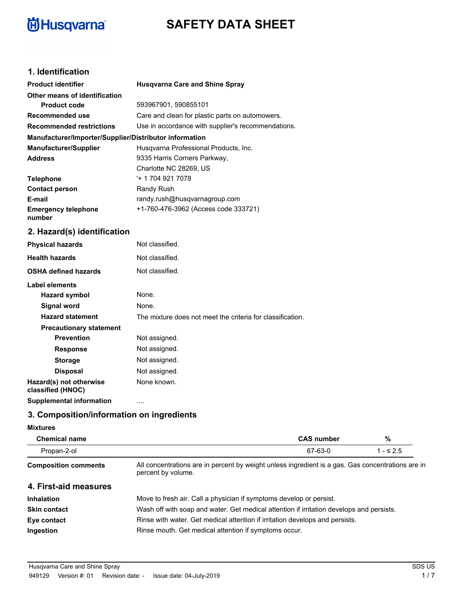# **尚Husqvarna**®

# **SAFETY DATA SHEET**

## **1. Identification**

| <b>Product identifier</b>                              | <b>Husqvarna Care and Shine Spray</b>                      |
|--------------------------------------------------------|------------------------------------------------------------|
| Other means of identification                          |                                                            |
| <b>Product code</b>                                    | 593967901, 590855101                                       |
| Recommended use                                        | Care and clean for plastic parts on automowers.            |
| <b>Recommended restrictions</b>                        | Use in accordance with supplier's recommendations.         |
| Manufacturer/Importer/Supplier/Distributor information |                                                            |
| <b>Manufacturer/Supplier</b>                           | Husqvarna Professional Products, Inc.                      |
| <b>Address</b>                                         | 9335 Harris Corners Parkway,                               |
|                                                        | Charlotte NC 28269, US                                     |
| <b>Telephone</b>                                       | '+ 1 704 921 7078                                          |
| <b>Contact person</b>                                  | Randy Rush                                                 |
| E-mail                                                 | randy.rush@husqvarnagroup.com                              |
| <b>Emergency telephone</b><br>number                   | +1-760-476-3962 (Access code 333721)                       |
| 2. Hazard(s) identification                            |                                                            |
| <b>Physical hazards</b>                                | Not classified.                                            |
| <b>Health hazards</b>                                  | Not classified.                                            |
| <b>OSHA defined hazards</b>                            | Not classified.                                            |
| Label elements                                         |                                                            |
| <b>Hazard symbol</b>                                   | None.                                                      |
| <b>Signal word</b>                                     | None.                                                      |
| <b>Hazard statement</b>                                | The mixture does not meet the criteria for classification. |

| <b>Hazard statement</b>                      | The mixture does not meet the criteria for classification. |
|----------------------------------------------|------------------------------------------------------------|
| <b>Precautionary statement</b>               |                                                            |
| <b>Prevention</b>                            | Not assigned.                                              |
| <b>Response</b>                              | Not assigned.                                              |
| <b>Storage</b>                               | Not assigned.                                              |
| <b>Disposal</b>                              | Not assigned.                                              |
| Hazard(s) not otherwise<br>classified (HNOC) | None known.                                                |
| <b>Supplemental information</b>              | .                                                          |
|                                              |                                                            |

# **3. Composition/information on ingredients**

#### **Mixtures**

| <b>Chemical name</b>        |                                                                                                                         | <b>CAS number</b> | %          |
|-----------------------------|-------------------------------------------------------------------------------------------------------------------------|-------------------|------------|
| Propan-2-ol                 |                                                                                                                         | 67-63-0           | $1 - 52.5$ |
| <b>Composition comments</b> | All concentrations are in percent by weight unless ingredient is a gas. Gas concentrations are in<br>percent by volume. |                   |            |
| 4. First-aid measures       |                                                                                                                         |                   |            |
| <b>Inhalation</b>           | Move to fresh air. Call a physician if symptoms develop or persist.                                                     |                   |            |
| <b>Skin contact</b>         | Wash off with soap and water. Get medical attention if irritation develops and persists.                                |                   |            |
| Eye contact                 | Rinse with water. Get medical attention if irritation develops and persists.                                            |                   |            |
| Ingestion                   | Rinse mouth. Get medical attention if symptoms occur.                                                                   |                   |            |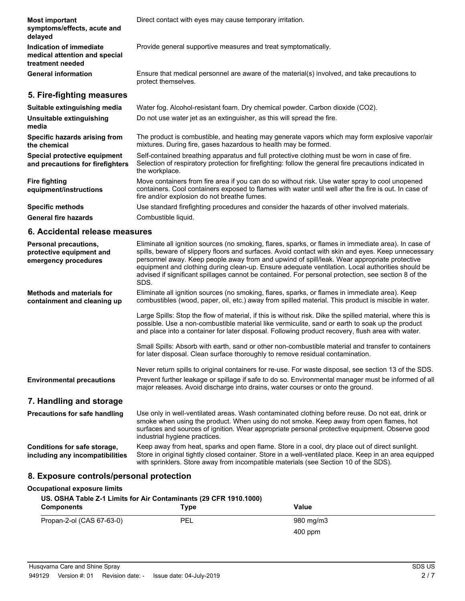| <b>Most important</b><br>symptoms/effects, acute and<br>delayed              | Direct contact with eyes may cause temporary irritation.                                                                                                                                                                                                                                                                                                                                                                                                                                                                     |
|------------------------------------------------------------------------------|------------------------------------------------------------------------------------------------------------------------------------------------------------------------------------------------------------------------------------------------------------------------------------------------------------------------------------------------------------------------------------------------------------------------------------------------------------------------------------------------------------------------------|
| Indication of immediate<br>medical attention and special<br>treatment needed | Provide general supportive measures and treat symptomatically.                                                                                                                                                                                                                                                                                                                                                                                                                                                               |
| <b>General information</b>                                                   | Ensure that medical personnel are aware of the material(s) involved, and take precautions to<br>protect themselves.                                                                                                                                                                                                                                                                                                                                                                                                          |
| 5. Fire-fighting measures                                                    |                                                                                                                                                                                                                                                                                                                                                                                                                                                                                                                              |
| Suitable extinguishing media                                                 | Water fog. Alcohol-resistant foam. Dry chemical powder. Carbon dioxide (CO2).                                                                                                                                                                                                                                                                                                                                                                                                                                                |
| Unsuitable extinguishing<br>media                                            | Do not use water jet as an extinguisher, as this will spread the fire.                                                                                                                                                                                                                                                                                                                                                                                                                                                       |
| Specific hazards arising from<br>the chemical                                | The product is combustible, and heating may generate vapors which may form explosive vapor/air<br>mixtures. During fire, gases hazardous to health may be formed.                                                                                                                                                                                                                                                                                                                                                            |
| Special protective equipment<br>and precautions for firefighters             | Self-contained breathing apparatus and full protective clothing must be worn in case of fire.<br>Selection of respiratory protection for firefighting: follow the general fire precautions indicated in<br>the workplace.                                                                                                                                                                                                                                                                                                    |
| <b>Fire fighting</b><br>equipment/instructions                               | Move containers from fire area if you can do so without risk. Use water spray to cool unopened<br>containers. Cool containers exposed to flames with water until well after the fire is out. In case of<br>fire and/or explosion do not breathe fumes.                                                                                                                                                                                                                                                                       |
| <b>Specific methods</b>                                                      | Use standard firefighting procedures and consider the hazards of other involved materials.                                                                                                                                                                                                                                                                                                                                                                                                                                   |
| <b>General fire hazards</b>                                                  | Combustible liquid.                                                                                                                                                                                                                                                                                                                                                                                                                                                                                                          |
| 6. Accidental release measures                                               |                                                                                                                                                                                                                                                                                                                                                                                                                                                                                                                              |
| Personal precautions,<br>protective equipment and<br>emergency procedures    | Eliminate all ignition sources (no smoking, flares, sparks, or flames in immediate area). In case of<br>spills, beware of slippery floors and surfaces. Avoid contact with skin and eyes. Keep unnecessary<br>personnel away. Keep people away from and upwind of spill/leak. Wear appropriate protective<br>equipment and clothing during clean-up. Ensure adequate ventilation. Local authorities should be<br>advised if significant spillages cannot be contained. For personal protection, see section 8 of the<br>SDS. |
| <b>Methods and materials for</b><br>containment and cleaning up              | Eliminate all ignition sources (no smoking, flares, sparks, or flames in immediate area). Keep<br>combustibles (wood, paper, oil, etc.) away from spilled material. This product is miscible in water.                                                                                                                                                                                                                                                                                                                       |
|                                                                              | Large Spills: Stop the flow of material, if this is without risk. Dike the spilled material, where this is<br>possible. Use a non-combustible material like vermiculite, sand or earth to soak up the product<br>and place into a container for later disposal. Following product recovery, flush area with water.                                                                                                                                                                                                           |
|                                                                              | Small Spills: Absorb with earth, sand or other non-combustible material and transfer to containers<br>for later disposal. Clean surface thoroughly to remove residual contamination.                                                                                                                                                                                                                                                                                                                                         |
| <b>Environmental precautions</b>                                             | Never return spills to original containers for re-use. For waste disposal, see section 13 of the SDS.<br>Prevent further leakage or spillage if safe to do so. Environmental manager must be informed of all<br>major releases. Avoid discharge into drains, water courses or onto the ground.                                                                                                                                                                                                                               |

#### **7. Handling and storage**

Use only in well-ventilated areas. Wash contaminated clothing before reuse. Do not eat, drink or smoke when using the product. When using do not smoke. Keep away from open flames, hot surfaces and sources of ignition. Wear appropriate personal protective equipment. Observe good industrial hygiene practices. **Precautions for safe handling** Keep away from heat, sparks and open flame. Store in a cool, dry place out of direct sunlight. Store in original tightly closed container. Store in a well-ventilated place. Keep in an area equipped **Conditions for safe storage, including any incompatibilities**

# with sprinklers. Store away from incompatible materials (see Section 10 of the SDS).

#### **8. Exposure controls/personal protection**

# **Occupational exposure limits**

| US. OSHA Table Z-1 Limits for Air Contaminants (29 CFR 1910.1000)<br><b>Components</b> | Type | Value     |  |
|----------------------------------------------------------------------------------------|------|-----------|--|
| Propan-2-ol (CAS 67-63-0)                                                              | PEL  | 980 mg/m3 |  |
|                                                                                        |      | $400$ ppm |  |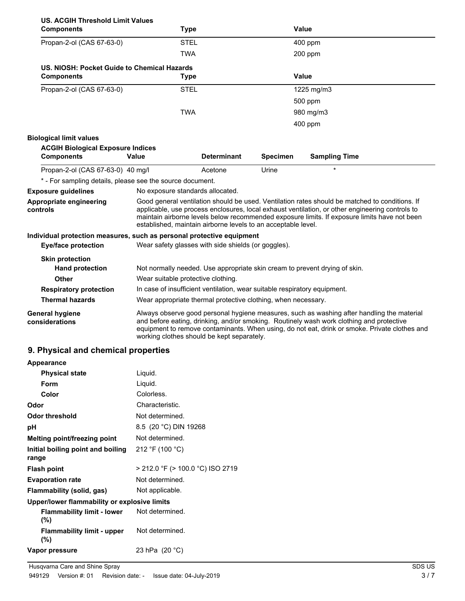| <b>US. ACGIH Threshold Limit Values</b><br><b>Components</b>                                        |                       | <b>Type</b>                                |                                                                           | Value                                                                                                                                                                                                                                                                                             |  |
|-----------------------------------------------------------------------------------------------------|-----------------------|--------------------------------------------|---------------------------------------------------------------------------|---------------------------------------------------------------------------------------------------------------------------------------------------------------------------------------------------------------------------------------------------------------------------------------------------|--|
| Propan-2-ol (CAS 67-63-0)                                                                           |                       | <b>STEL</b>                                |                                                                           | 400 ppm                                                                                                                                                                                                                                                                                           |  |
|                                                                                                     |                       | <b>TWA</b>                                 |                                                                           | 200 ppm                                                                                                                                                                                                                                                                                           |  |
| US. NIOSH: Pocket Guide to Chemical Hazards<br><b>Components</b>                                    |                       | <b>Type</b>                                |                                                                           | <b>Value</b>                                                                                                                                                                                                                                                                                      |  |
|                                                                                                     |                       |                                            |                                                                           |                                                                                                                                                                                                                                                                                                   |  |
| Propan-2-ol (CAS 67-63-0)                                                                           |                       | <b>STEL</b>                                |                                                                           | 1225 mg/m3                                                                                                                                                                                                                                                                                        |  |
|                                                                                                     |                       |                                            |                                                                           | 500 ppm                                                                                                                                                                                                                                                                                           |  |
|                                                                                                     |                       | <b>TWA</b>                                 |                                                                           | 980 mg/m3                                                                                                                                                                                                                                                                                         |  |
|                                                                                                     |                       |                                            |                                                                           | 400 ppm                                                                                                                                                                                                                                                                                           |  |
| <b>Biological limit values</b>                                                                      |                       |                                            |                                                                           |                                                                                                                                                                                                                                                                                                   |  |
| <b>ACGIH Biological Exposure Indices</b>                                                            |                       |                                            |                                                                           |                                                                                                                                                                                                                                                                                                   |  |
| <b>Components</b>                                                                                   | Value                 | <b>Determinant</b>                         | <b>Specimen</b>                                                           | <b>Sampling Time</b>                                                                                                                                                                                                                                                                              |  |
| Propan-2-ol (CAS 67-63-0) 40 mg/l                                                                   |                       | Acetone                                    | Urine                                                                     | $\star$                                                                                                                                                                                                                                                                                           |  |
| * - For sampling details, please see the source document.                                           |                       |                                            |                                                                           |                                                                                                                                                                                                                                                                                                   |  |
| <b>Exposure guidelines</b>                                                                          |                       | No exposure standards allocated.           |                                                                           |                                                                                                                                                                                                                                                                                                   |  |
| Appropriate engineering<br>controls                                                                 |                       |                                            | established, maintain airborne levels to an acceptable level.             | Good general ventilation should be used. Ventilation rates should be matched to conditions. If<br>applicable, use process enclosures, local exhaust ventilation, or other engineering controls to<br>maintain airborne levels below recommended exposure limits. If exposure limits have not been |  |
| Individual protection measures, such as personal protective equipment<br><b>Eye/face protection</b> |                       |                                            | Wear safety glasses with side shields (or goggles).                       |                                                                                                                                                                                                                                                                                                   |  |
| <b>Skin protection</b>                                                                              |                       |                                            |                                                                           |                                                                                                                                                                                                                                                                                                   |  |
| <b>Hand protection</b>                                                                              |                       |                                            |                                                                           | Not normally needed. Use appropriate skin cream to prevent drying of skin.                                                                                                                                                                                                                        |  |
| <b>Other</b>                                                                                        |                       | Wear suitable protective clothing.         |                                                                           |                                                                                                                                                                                                                                                                                                   |  |
| <b>Respiratory protection</b>                                                                       |                       |                                            | In case of insufficient ventilation, wear suitable respiratory equipment. |                                                                                                                                                                                                                                                                                                   |  |
| <b>Thermal hazards</b>                                                                              |                       |                                            | Wear appropriate thermal protective clothing, when necessary.             |                                                                                                                                                                                                                                                                                                   |  |
| General hygiene<br>considerations                                                                   |                       | working clothes should be kept separately. |                                                                           | Always observe good personal hygiene measures, such as washing after handling the material<br>and before eating, drinking, and/or smoking. Routinely wash work clothing and protective<br>equipment to remove contaminants. When using, do not eat, drink or smoke. Private clothes and           |  |
| 9. Physical and chemical properties                                                                 |                       |                                            |                                                                           |                                                                                                                                                                                                                                                                                                   |  |
| Appearance                                                                                          |                       |                                            |                                                                           |                                                                                                                                                                                                                                                                                                   |  |
| <b>Physical state</b>                                                                               | Liquid.               |                                            |                                                                           |                                                                                                                                                                                                                                                                                                   |  |
| Form                                                                                                | Liquid.               |                                            |                                                                           |                                                                                                                                                                                                                                                                                                   |  |
| Color                                                                                               | Colorless.            |                                            |                                                                           |                                                                                                                                                                                                                                                                                                   |  |
| Odor                                                                                                | Characteristic.       |                                            |                                                                           |                                                                                                                                                                                                                                                                                                   |  |
| Odor threshold                                                                                      | Not determined.       |                                            |                                                                           |                                                                                                                                                                                                                                                                                                   |  |
| pН                                                                                                  | 8.5 (20 °C) DIN 19268 |                                            |                                                                           |                                                                                                                                                                                                                                                                                                   |  |
| Melting point/freezing point                                                                        | Not determined.       |                                            |                                                                           |                                                                                                                                                                                                                                                                                                   |  |

| Form                                              | Liquid.                          |  |
|---------------------------------------------------|----------------------------------|--|
| Color                                             | Colorless.                       |  |
| Odor                                              | Characteristic.                  |  |
| Odor threshold                                    | Not determined.                  |  |
| рH                                                | 8.5 (20 °C) DIN 19268            |  |
| Melting point/freezing point                      | Not determined.                  |  |
| Initial boiling point and boiling<br>range        | 212 °F (100 °C)                  |  |
| <b>Flash point</b>                                | > 212.0 °F (> 100.0 °C) ISO 2719 |  |
| <b>Evaporation rate</b>                           | Not determined.                  |  |
| Flammability (solid, gas)                         | Not applicable.                  |  |
| Upper/lower flammability or explosive limits      |                                  |  |
| Flammability limit - lower Not determined.<br>(%) |                                  |  |
| <b>Flammability limit - upper</b><br>(%)          | Not determined.                  |  |
| Vapor pressure                                    | 23 hPa (20 °C)                   |  |
|                                                   |                                  |  |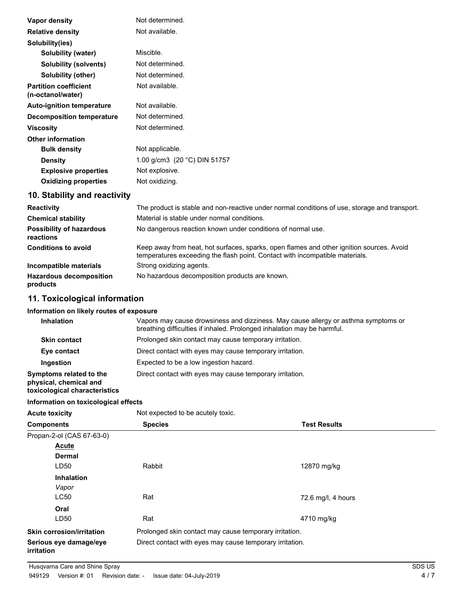| Vapor density                                     | Not determined.                                                                               |
|---------------------------------------------------|-----------------------------------------------------------------------------------------------|
| <b>Relative density</b>                           | Not available.                                                                                |
| Solubility(ies)                                   |                                                                                               |
| Solubility (water)                                | Miscible.                                                                                     |
| <b>Solubility (solvents)</b>                      | Not determined.                                                                               |
| <b>Solubility (other)</b>                         | Not determined.                                                                               |
| <b>Partition coefficient</b><br>(n-octanol/water) | Not available.                                                                                |
| <b>Auto-ignition temperature</b>                  | Not available.                                                                                |
| <b>Decomposition temperature</b>                  | Not determined.                                                                               |
| <b>Viscosity</b>                                  | Not determined.                                                                               |
| <b>Other information</b>                          |                                                                                               |
| <b>Bulk density</b>                               | Not applicable.                                                                               |
| <b>Density</b>                                    | 1.00 g/cm3 $(20 °C)$ DIN 51757                                                                |
| <b>Explosive properties</b>                       | Not explosive.                                                                                |
| <b>Oxidizing properties</b>                       | Not oxidizing.                                                                                |
| 10. Stability and reactivity                      |                                                                                               |
| <b>Reactivity</b>                                 | The product is stable and non-reactive under normal conditions of use, storage and transport. |
| <b>Chemical stability</b>                         | Material is stable under normal conditions.                                                   |
| <b>Possibility of hazardous</b><br>reactions      | No dangerous reaction known under conditions of normal use.                                   |

| <b>Conditions to avoid</b>                 | Keep away from heat, hot surfaces, sparks, open flames and other ignition sources. Avoid<br>temperatures exceeding the flash point. Contact with incompatible materials. |
|--------------------------------------------|--------------------------------------------------------------------------------------------------------------------------------------------------------------------------|
| Incompatible materials                     | Strong oxidizing agents.                                                                                                                                                 |
| <b>Hazardous decomposition</b><br>products | No hazardous decomposition products are known.                                                                                                                           |

# **11. Toxicological information**

#### **Information on likely routes of exposure**

| <b>Inhalation</b>                                                                  | Vapors may cause drowsiness and dizziness. May cause allergy or asthma symptoms or<br>breathing difficulties if inhaled. Prolonged inhalation may be harmful. |  |
|------------------------------------------------------------------------------------|---------------------------------------------------------------------------------------------------------------------------------------------------------------|--|
| <b>Skin contact</b>                                                                | Prolonged skin contact may cause temporary irritation.                                                                                                        |  |
| Eye contact                                                                        | Direct contact with eyes may cause temporary irritation.                                                                                                      |  |
| Ingestion                                                                          | Expected to be a low ingestion hazard.                                                                                                                        |  |
| Symptoms related to the<br>physical, chemical and<br>toxicological characteristics | Direct contact with eyes may cause temporary irritation.                                                                                                      |  |

#### **Information on toxicological effects**

| <b>Acute toxicity</b>                       | Not expected to be acutely toxic.                        |                     |
|---------------------------------------------|----------------------------------------------------------|---------------------|
| <b>Components</b>                           | <b>Species</b>                                           | <b>Test Results</b> |
| Propan-2-ol (CAS 67-63-0)                   |                                                          |                     |
| Acute                                       |                                                          |                     |
| <b>Dermal</b>                               |                                                          |                     |
| LD50                                        | Rabbit                                                   | 12870 mg/kg         |
| <b>Inhalation</b>                           |                                                          |                     |
| Vapor                                       |                                                          |                     |
| <b>LC50</b>                                 | Rat                                                      | 72.6 mg/l, 4 hours  |
| Oral                                        |                                                          |                     |
| LD50                                        | Rat                                                      | 4710 mg/kg          |
| <b>Skin corrosion/irritation</b>            | Prolonged skin contact may cause temporary irritation.   |                     |
| Serious eye damage/eye<br><i>irritation</i> | Direct contact with eyes may cause temporary irritation. |                     |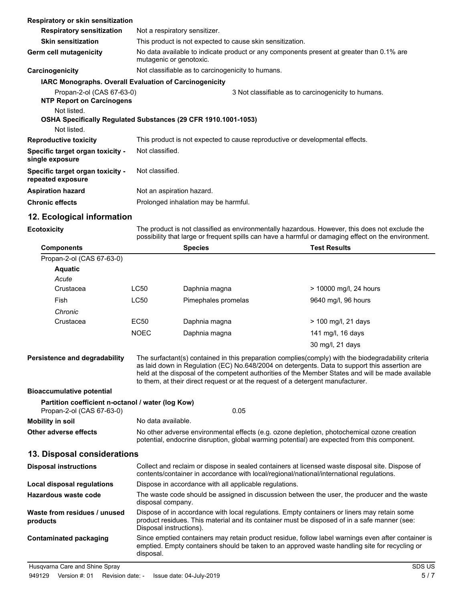| Respiratory or skin sensitization                             |                                                                                                                     |  |  |
|---------------------------------------------------------------|---------------------------------------------------------------------------------------------------------------------|--|--|
| <b>Respiratory sensitization</b>                              | Not a respiratory sensitizer.                                                                                       |  |  |
| <b>Skin sensitization</b>                                     | This product is not expected to cause skin sensitization.                                                           |  |  |
| Germ cell mutagenicity                                        | No data available to indicate product or any components present at greater than 0.1% are<br>mutagenic or genotoxic. |  |  |
| Carcinogenicity                                               | Not classifiable as to carcinogenicity to humans.                                                                   |  |  |
| <b>IARC Monographs. Overall Evaluation of Carcinogenicity</b> |                                                                                                                     |  |  |
| Propan-2-ol (CAS 67-63-0)                                     | 3 Not classifiable as to carcinogenicity to humans.                                                                 |  |  |
| <b>NTP Report on Carcinogens</b>                              |                                                                                                                     |  |  |
| Not listed.                                                   |                                                                                                                     |  |  |
|                                                               | OSHA Specifically Regulated Substances (29 CFR 1910.1001-1053)                                                      |  |  |
| Not listed.                                                   |                                                                                                                     |  |  |
| <b>Reproductive toxicity</b>                                  | This product is not expected to cause reproductive or developmental effects.                                        |  |  |
| Specific target organ toxicity -<br>single exposure           | Not classified.                                                                                                     |  |  |
| Specific target organ toxicity -<br>repeated exposure         | Not classified.                                                                                                     |  |  |
| <b>Aspiration hazard</b>                                      | Not an aspiration hazard.                                                                                           |  |  |
| <b>Chronic effects</b>                                        | Prolonged inhalation may be harmful.                                                                                |  |  |

### **12. Ecological information**

**Ecotoxicity**

The product is not classified as environmentally hazardous. However, this does not exclude the possibility that large or frequent spills can have a harmful or damaging effect on the environment.

| <b>Components</b>                                                              |                                                                                                                                                                                                     | <b>Species</b>                                                                                                                                                                                                                                                                                                                                                                               | <b>Test Results</b>    |  |  |  |
|--------------------------------------------------------------------------------|-----------------------------------------------------------------------------------------------------------------------------------------------------------------------------------------------------|----------------------------------------------------------------------------------------------------------------------------------------------------------------------------------------------------------------------------------------------------------------------------------------------------------------------------------------------------------------------------------------------|------------------------|--|--|--|
| Propan-2-ol (CAS 67-63-0)                                                      |                                                                                                                                                                                                     |                                                                                                                                                                                                                                                                                                                                                                                              |                        |  |  |  |
| <b>Aquatic</b>                                                                 |                                                                                                                                                                                                     |                                                                                                                                                                                                                                                                                                                                                                                              |                        |  |  |  |
| Acute                                                                          |                                                                                                                                                                                                     |                                                                                                                                                                                                                                                                                                                                                                                              |                        |  |  |  |
| Crustacea                                                                      | <b>LC50</b>                                                                                                                                                                                         | Daphnia magna                                                                                                                                                                                                                                                                                                                                                                                | > 10000 mg/l, 24 hours |  |  |  |
| Fish                                                                           | LC50                                                                                                                                                                                                | Pimephales promelas                                                                                                                                                                                                                                                                                                                                                                          | 9640 mg/l, 96 hours    |  |  |  |
| Chronic                                                                        |                                                                                                                                                                                                     |                                                                                                                                                                                                                                                                                                                                                                                              |                        |  |  |  |
| Crustacea                                                                      | <b>EC50</b>                                                                                                                                                                                         | Daphnia magna                                                                                                                                                                                                                                                                                                                                                                                | > 100 mg/l, 21 days    |  |  |  |
|                                                                                | <b>NOEC</b>                                                                                                                                                                                         | Daphnia magna                                                                                                                                                                                                                                                                                                                                                                                | 141 mg/l, 16 days      |  |  |  |
|                                                                                |                                                                                                                                                                                                     |                                                                                                                                                                                                                                                                                                                                                                                              | 30 mg/l, 21 days       |  |  |  |
| <b>Persistence and degradability</b>                                           |                                                                                                                                                                                                     | The surfactant(s) contained in this preparation complies(comply) with the biodegradability criteria<br>as laid down in Regulation (EC) No.648/2004 on detergents. Data to support this assertion are<br>held at the disposal of the competent authorities of the Member States and will be made available<br>to them, at their direct request or at the request of a detergent manufacturer. |                        |  |  |  |
| <b>Bioaccumulative potential</b>                                               |                                                                                                                                                                                                     |                                                                                                                                                                                                                                                                                                                                                                                              |                        |  |  |  |
| Partition coefficient n-octanol / water (log Kow)<br>Propan-2-ol (CAS 67-63-0) |                                                                                                                                                                                                     | 0.05                                                                                                                                                                                                                                                                                                                                                                                         |                        |  |  |  |
| <b>Mobility in soil</b>                                                        |                                                                                                                                                                                                     | No data available.                                                                                                                                                                                                                                                                                                                                                                           |                        |  |  |  |
| <b>Other adverse effects</b>                                                   |                                                                                                                                                                                                     | No other adverse environmental effects (e.g. ozone depletion, photochemical ozone creation<br>potential, endocrine disruption, global warming potential) are expected from this component.                                                                                                                                                                                                   |                        |  |  |  |
| 13. Disposal considerations                                                    |                                                                                                                                                                                                     |                                                                                                                                                                                                                                                                                                                                                                                              |                        |  |  |  |
| <b>Disposal instructions</b>                                                   |                                                                                                                                                                                                     | Collect and reclaim or dispose in sealed containers at licensed waste disposal site. Dispose of<br>contents/container in accordance with local/regional/national/international regulations.                                                                                                                                                                                                  |                        |  |  |  |
| <b>Local disposal regulations</b>                                              |                                                                                                                                                                                                     | Dispose in accordance with all applicable regulations.                                                                                                                                                                                                                                                                                                                                       |                        |  |  |  |
| Hazardous waste code                                                           |                                                                                                                                                                                                     | The waste code should be assigned in discussion between the user, the producer and the waste<br>disposal company.                                                                                                                                                                                                                                                                            |                        |  |  |  |
| Waste from residues / unused<br>products                                       |                                                                                                                                                                                                     | Dispose of in accordance with local regulations. Empty containers or liners may retain some<br>product residues. This material and its container must be disposed of in a safe manner (see:<br>Disposal instructions).                                                                                                                                                                       |                        |  |  |  |
| <b>Contaminated packaging</b>                                                  | Since emptied containers may retain product residue, follow label warnings even after container is<br>emptied. Empty containers should be taken to an approved waste handling site for recycling or |                                                                                                                                                                                                                                                                                                                                                                                              |                        |  |  |  |

disposal.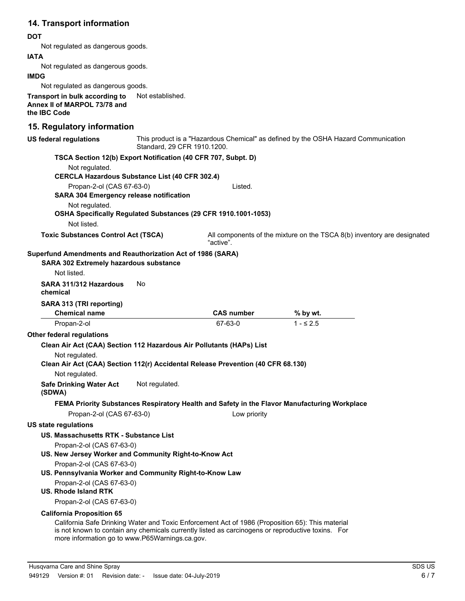# **14. Transport information**

#### **DOT**

Not regulated as dangerous goods.

#### **IATA**

Not regulated as dangerous goods.

#### **IMDG**

Not regulated as dangerous goods.

**Transport in bulk according to** Not established. **Annex II of MARPOL 73/78 and the IBC Code**

### **15. Regulatory information**

| US federal regulations                                                           | Standard, 29 CFR 1910.1200. |                                                                                                                                                                                                        | This product is a "Hazardous Chemical" as defined by the OSHA Hazard Communication           |  |
|----------------------------------------------------------------------------------|-----------------------------|--------------------------------------------------------------------------------------------------------------------------------------------------------------------------------------------------------|----------------------------------------------------------------------------------------------|--|
| TSCA Section 12(b) Export Notification (40 CFR 707, Subpt. D)                    |                             |                                                                                                                                                                                                        |                                                                                              |  |
| Not regulated.                                                                   |                             |                                                                                                                                                                                                        |                                                                                              |  |
| <b>CERCLA Hazardous Substance List (40 CFR 302.4)</b>                            |                             |                                                                                                                                                                                                        |                                                                                              |  |
| Propan-2-ol (CAS 67-63-0)<br><b>SARA 304 Emergency release notification</b>      |                             | Listed.                                                                                                                                                                                                |                                                                                              |  |
| Not regulated.<br>Not listed.                                                    |                             | OSHA Specifically Regulated Substances (29 CFR 1910.1001-1053)                                                                                                                                         |                                                                                              |  |
| <b>Toxic Substances Control Act (TSCA)</b>                                       |                             | "active".                                                                                                                                                                                              | All components of the mixture on the TSCA 8(b) inventory are designated                      |  |
| Superfund Amendments and Reauthorization Act of 1986 (SARA)                      |                             |                                                                                                                                                                                                        |                                                                                              |  |
| SARA 302 Extremely hazardous substance                                           |                             |                                                                                                                                                                                                        |                                                                                              |  |
| Not listed.                                                                      |                             |                                                                                                                                                                                                        |                                                                                              |  |
| SARA 311/312 Hazardous<br>chemical                                               | No                          |                                                                                                                                                                                                        |                                                                                              |  |
| SARA 313 (TRI reporting)                                                         |                             |                                                                                                                                                                                                        |                                                                                              |  |
| <b>Chemical name</b>                                                             |                             | <b>CAS number</b>                                                                                                                                                                                      | % by wt.                                                                                     |  |
| Propan-2-ol                                                                      |                             | 67-63-0                                                                                                                                                                                                | $1 - 52.5$                                                                                   |  |
| Other federal regulations                                                        |                             |                                                                                                                                                                                                        |                                                                                              |  |
| Clean Air Act (CAA) Section 112 Hazardous Air Pollutants (HAPs) List             |                             |                                                                                                                                                                                                        |                                                                                              |  |
| Not regulated.                                                                   |                             |                                                                                                                                                                                                        |                                                                                              |  |
| Clean Air Act (CAA) Section 112(r) Accidental Release Prevention (40 CFR 68.130) |                             |                                                                                                                                                                                                        |                                                                                              |  |
| Not regulated.                                                                   |                             |                                                                                                                                                                                                        |                                                                                              |  |
| <b>Safe Drinking Water Act</b><br>(SDWA)                                         | Not regulated.              |                                                                                                                                                                                                        |                                                                                              |  |
|                                                                                  |                             |                                                                                                                                                                                                        | FEMA Priority Substances Respiratory Health and Safety in the Flavor Manufacturing Workplace |  |
| Propan-2-ol (CAS 67-63-0)                                                        |                             | Low priority                                                                                                                                                                                           |                                                                                              |  |
| <b>US state regulations</b>                                                      |                             |                                                                                                                                                                                                        |                                                                                              |  |
| US. Massachusetts RTK - Substance List                                           |                             |                                                                                                                                                                                                        |                                                                                              |  |
| Propan-2-ol (CAS 67-63-0)                                                        |                             |                                                                                                                                                                                                        |                                                                                              |  |
| US. New Jersey Worker and Community Right-to-Know Act                            |                             |                                                                                                                                                                                                        |                                                                                              |  |
| Propan-2-ol (CAS 67-63-0)                                                        |                             |                                                                                                                                                                                                        |                                                                                              |  |
| US. Pennsylvania Worker and Community Right-to-Know Law                          |                             |                                                                                                                                                                                                        |                                                                                              |  |
| Propan-2-ol (CAS 67-63-0)                                                        |                             |                                                                                                                                                                                                        |                                                                                              |  |
| <b>US. Rhode Island RTK</b>                                                      |                             |                                                                                                                                                                                                        |                                                                                              |  |
| Propan-2-ol (CAS 67-63-0)                                                        |                             |                                                                                                                                                                                                        |                                                                                              |  |
| <b>California Proposition 65</b>                                                 |                             |                                                                                                                                                                                                        |                                                                                              |  |
| more information go to www.P65Warnings.ca.gov.                                   |                             | California Safe Drinking Water and Toxic Enforcement Act of 1986 (Proposition 65): This material<br>is not known to contain any chemicals currently listed as carcinogens or reproductive toxins.  For |                                                                                              |  |